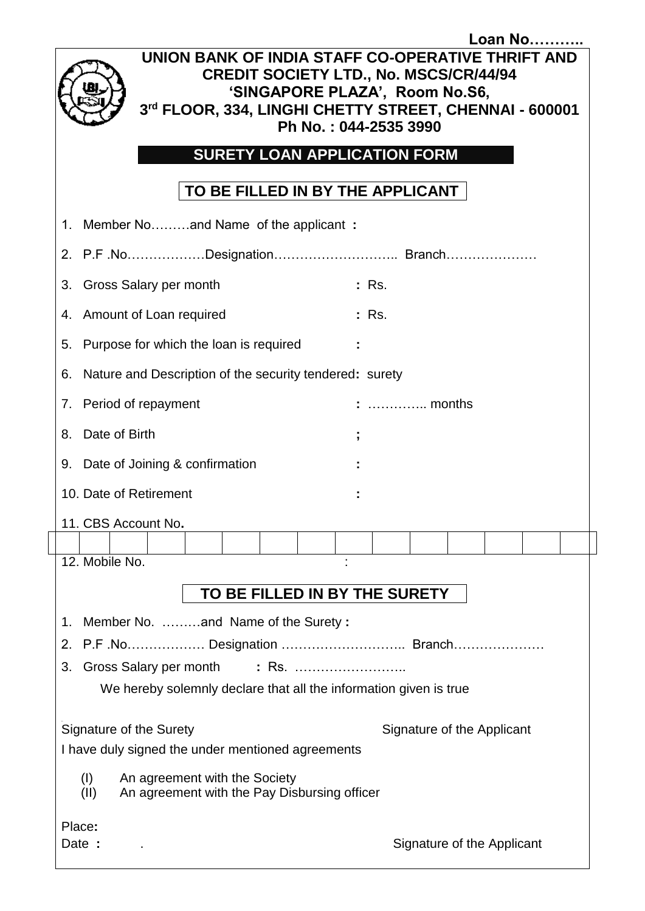| <b>Loan No</b><br>UNION BANK OF INDIA STAFF CO-OPERATIVE THRIFT AND<br><b>CREDIT SOCIETY LTD., No. MSCS/CR/44/94</b><br>'SINGAPORE PLAZA', Room No.S6,<br>3rd FLOOR, 334, LINGHI CHETTY STREET, CHENNAI - 600001<br>Ph No.: 044-2535 3990 |  |  |  |  |  |  |  |  |
|-------------------------------------------------------------------------------------------------------------------------------------------------------------------------------------------------------------------------------------------|--|--|--|--|--|--|--|--|
| <b>SURETY LOAN APPLICATION FORM</b>                                                                                                                                                                                                       |  |  |  |  |  |  |  |  |
| TO BE FILLED IN BY THE APPLICANT                                                                                                                                                                                                          |  |  |  |  |  |  |  |  |
| 1. Member Noand Name of the applicant:                                                                                                                                                                                                    |  |  |  |  |  |  |  |  |
|                                                                                                                                                                                                                                           |  |  |  |  |  |  |  |  |
| <b>Gross Salary per month</b><br>: Rs.<br>3.                                                                                                                                                                                              |  |  |  |  |  |  |  |  |
| 4. Amount of Loan required<br>: Rs.                                                                                                                                                                                                       |  |  |  |  |  |  |  |  |
| 5. Purpose for which the loan is required                                                                                                                                                                                                 |  |  |  |  |  |  |  |  |
| Nature and Description of the security tendered: surety<br>6.                                                                                                                                                                             |  |  |  |  |  |  |  |  |
| 7. Period of repayment<br>$\ldots$ months                                                                                                                                                                                                 |  |  |  |  |  |  |  |  |
| Date of Birth<br>8.                                                                                                                                                                                                                       |  |  |  |  |  |  |  |  |
| 9. Date of Joining & confirmation                                                                                                                                                                                                         |  |  |  |  |  |  |  |  |
| 10. Date of Retirement                                                                                                                                                                                                                    |  |  |  |  |  |  |  |  |
| 11. CBS Account No.                                                                                                                                                                                                                       |  |  |  |  |  |  |  |  |
| 12. Mobile No.                                                                                                                                                                                                                            |  |  |  |  |  |  |  |  |
|                                                                                                                                                                                                                                           |  |  |  |  |  |  |  |  |
| TO BE FILLED IN BY THE SURETY                                                                                                                                                                                                             |  |  |  |  |  |  |  |  |
| Member No. and Name of the Surety:<br>1.                                                                                                                                                                                                  |  |  |  |  |  |  |  |  |
| 2.<br>Gross Salary per month<br>: Rs.<br>3.                                                                                                                                                                                               |  |  |  |  |  |  |  |  |
| We hereby solemnly declare that all the information given is true                                                                                                                                                                         |  |  |  |  |  |  |  |  |
| Signature of the Surety<br>Signature of the Applicant<br>I have duly signed the under mentioned agreements                                                                                                                                |  |  |  |  |  |  |  |  |
| (I)<br>An agreement with the Society<br>(II)<br>An agreement with the Pay Disbursing officer                                                                                                                                              |  |  |  |  |  |  |  |  |
| Place:<br>Signature of the Applicant<br>Date :                                                                                                                                                                                            |  |  |  |  |  |  |  |  |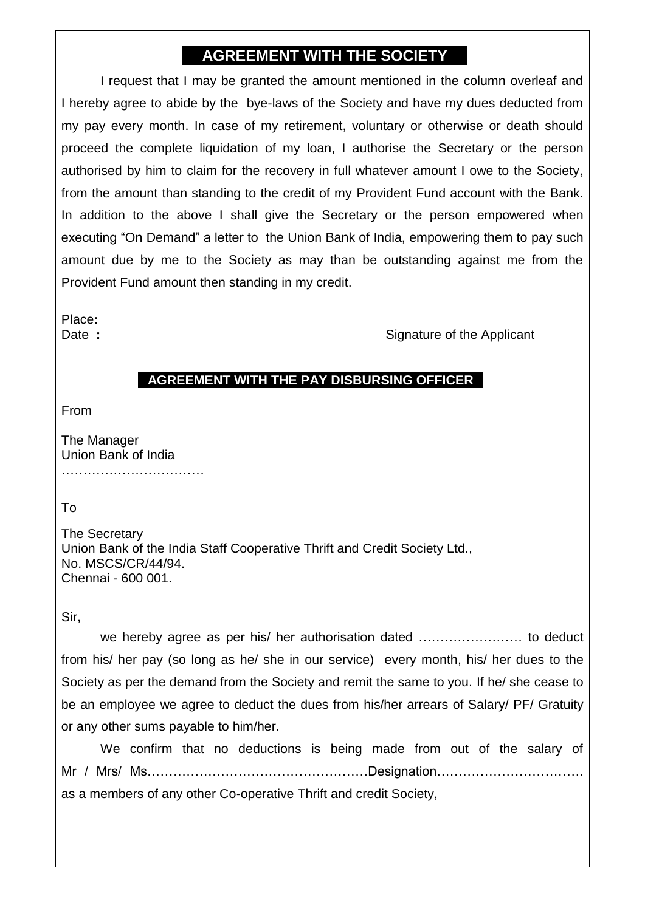## **AGREEMENT WITH THE SOCIETY**

I request that I may be granted the amount mentioned in the column overleaf and I hereby agree to abide by the bye-laws of the Society and have my dues deducted from my pay every month. In case of my retirement, voluntary or otherwise or death should proceed the complete liquidation of my loan, I authorise the Secretary or the person authorised by him to claim for the recovery in full whatever amount I owe to the Society, from the amount than standing to the credit of my Provident Fund account with the Bank. In addition to the above I shall give the Secretary or the person empowered when executing "On Demand" a letter to the Union Bank of India, empowering them to pay such amount due by me to the Society as may than be outstanding against me from the Provident Fund amount then standing in my credit.

Place**:**

Date : Signature of the Applicant

## **AGREEMENT WITH THE PAY DISBURSING OFFICER**

From

The Manager Union Bank of India

……………………………

To

The Secretary Union Bank of the India Staff Cooperative Thrift and Credit Society Ltd., No. MSCS/CR/44/94. Chennai - 600 001.

Sir,

we hereby agree as per his/ her authorisation dated …………………… to deduct from his/ her pay (so long as he/ she in our service) every month, his/ her dues to the Society as per the demand from the Society and remit the same to you. If he/ she cease to be an employee we agree to deduct the dues from his/her arrears of Salary/ PF/ Gratuity or any other sums payable to him/her.

We confirm that no deductions is being made from out of the salary of Mr / Mrs/ Ms……………………………………………Designation……………………………. as a members of any other Co-operative Thrift and credit Society,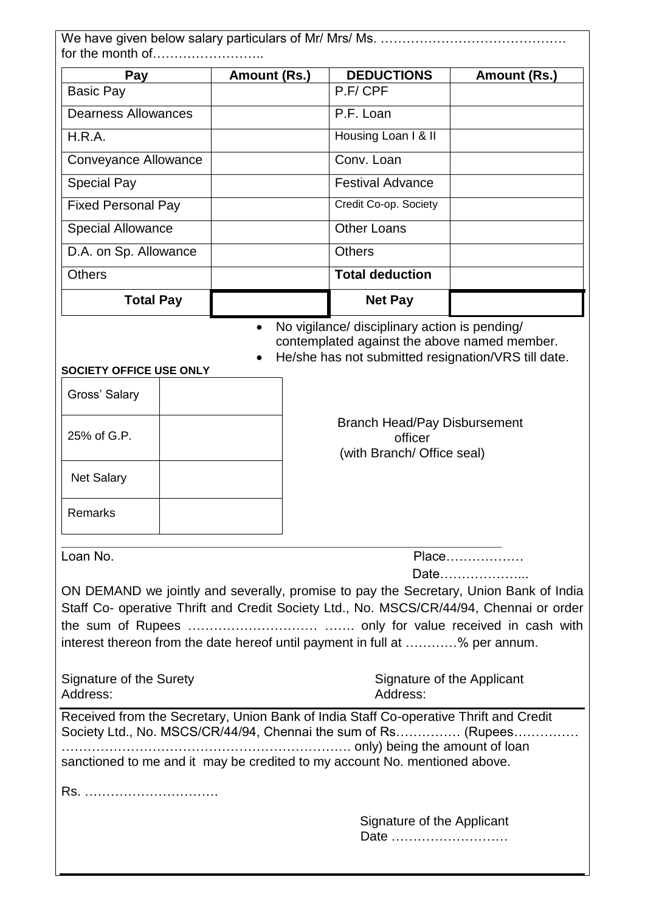| for the month of                                                                                                                                                                                                                             |  |                                                                              |  |                                        |  |  |  |  |
|----------------------------------------------------------------------------------------------------------------------------------------------------------------------------------------------------------------------------------------------|--|------------------------------------------------------------------------------|--|----------------------------------------|--|--|--|--|
| Pay                                                                                                                                                                                                                                          |  | Amount (Rs.)                                                                 |  | <b>DEDUCTIONS</b><br>Amount (Rs.)      |  |  |  |  |
| <b>Basic Pay</b>                                                                                                                                                                                                                             |  |                                                                              |  | P.F/CPF                                |  |  |  |  |
| <b>Dearness Allowances</b>                                                                                                                                                                                                                   |  |                                                                              |  | P.F. Loan                              |  |  |  |  |
| H.R.A.                                                                                                                                                                                                                                       |  |                                                                              |  | Housing Loan I & II                    |  |  |  |  |
| Conveyance Allowance                                                                                                                                                                                                                         |  |                                                                              |  | Conv. Loan                             |  |  |  |  |
| <b>Special Pay</b>                                                                                                                                                                                                                           |  |                                                                              |  | <b>Festival Advance</b>                |  |  |  |  |
| <b>Fixed Personal Pay</b>                                                                                                                                                                                                                    |  |                                                                              |  | Credit Co-op. Society                  |  |  |  |  |
| <b>Special Allowance</b>                                                                                                                                                                                                                     |  |                                                                              |  | <b>Other Loans</b>                     |  |  |  |  |
| D.A. on Sp. Allowance                                                                                                                                                                                                                        |  |                                                                              |  | <b>Others</b>                          |  |  |  |  |
| <b>Others</b>                                                                                                                                                                                                                                |  |                                                                              |  | <b>Total deduction</b>                 |  |  |  |  |
| <b>Total Pay</b>                                                                                                                                                                                                                             |  |                                                                              |  | <b>Net Pay</b>                         |  |  |  |  |
| contemplated against the above named member.<br>He/she has not submitted resignation/VRS till date.<br>SOCIETY OFFICE USE ONLY                                                                                                               |  |                                                                              |  |                                        |  |  |  |  |
| Gross' Salary                                                                                                                                                                                                                                |  |                                                                              |  |                                        |  |  |  |  |
| 25% of G.P.                                                                                                                                                                                                                                  |  | <b>Branch Head/Pay Disbursement</b><br>officer<br>(with Branch/ Office seal) |  |                                        |  |  |  |  |
| <b>Net Salary</b>                                                                                                                                                                                                                            |  |                                                                              |  |                                        |  |  |  |  |
| Remarks                                                                                                                                                                                                                                      |  |                                                                              |  |                                        |  |  |  |  |
| Loan No.<br>Place<br>Date<br>ON DEMAND we jointly and severally, promise to pay the Secretary, Union Bank of India<br>Staff Co- operative Thrift and Credit Society Ltd., No. MSCS/CR/44/94, Chennai or order                                |  |                                                                              |  |                                        |  |  |  |  |
|                                                                                                                                                                                                                                              |  |                                                                              |  |                                        |  |  |  |  |
| interest thereon from the date hereof until payment in full at % per annum.<br>Signature of the Surety<br>Address:                                                                                                                           |  |                                                                              |  | Signature of the Applicant<br>Address: |  |  |  |  |
| Received from the Secretary, Union Bank of India Staff Co-operative Thrift and Credit<br>Society Ltd., No. MSCS/CR/44/94, Chennai the sum of Rs (Rupees<br>sanctioned to me and it may be credited to my account No. mentioned above.<br>Rs. |  |                                                                              |  |                                        |  |  |  |  |
|                                                                                                                                                                                                                                              |  |                                                                              |  | Signature of the Applicant<br>Date     |  |  |  |  |